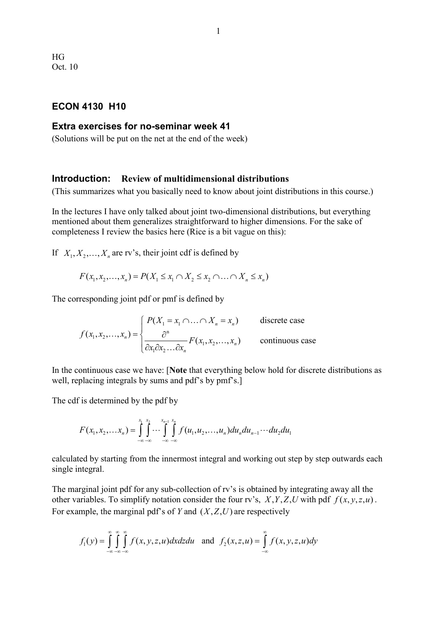# **ECON 4130 H10**

### **Extra exercises for no-seminar week 41**

(Solutions will be put on the net at the end of the week)

#### **Introduction: Review of multidimensional distributions**

(This summarizes what you basically need to know about joint distributions in this course.)

In the lectures I have only talked about joint two-dimensional distributions, but everything mentioned about them generalizes straightforward to higher dimensions. For the sake of completeness I review the basics here (Rice is a bit vague on this):

If  $X_1, X_2, \ldots, X_n$  are rv's, their joint cdf is defined by

$$
F(x_1, x_2,..., x_n) = P(X_1 \le x_1 \cap X_2 \le x_2 \cap ... \cap X_n \le x_n)
$$

The corresponding joint pdf or pmf is defined by

$$
f(x_1, x_2,...,x_n) = \begin{cases} P(X_1 = x_1 \cap ... \cap X_n = x_n) & \text{discrete case} \\ \frac{\partial^n}{\partial x_1 \partial x_2 ... \partial x_n} F(x_1, x_2,...,x_n) & \text{continuous case} \end{cases}
$$

In the continuous case we have: [**Note** that everything below hold for discrete distributions as well, replacing integrals by sums and pdf's by pmf's.]

The cdf is determined by the pdf by

$$
F(x_1, x_2,... x_n) = \int_{-\infty}^{x_1} \int_{-\infty}^{x_2} \cdots \int_{-\infty}^{x_{n-1}} \int_{-\infty}^{x_n} f(u_1, u_2,..., u_n) du_n du_{n-1} \cdots du_2 du_1
$$

calculated by starting from the innermost integral and working out step by step outwards each single integral.

The marginal joint pdf for any sub-collection of rv's is obtained by integrating away all the other variables. To simplify notation consider the four rv's,  $X, Y, Z, U$  with pdf  $f(x, y, z, u)$ . For example, the marginal pdf's of *Y* and  $(X, Z, U)$  are respectively

$$
f_1(y) = \int_{-\infty}^{\infty} \int_{-\infty}^{\infty} \int_{-\infty}^{\infty} f(x, y, z, u) dx dz du \text{ and } f_2(x, z, u) = \int_{-\infty}^{\infty} f(x, y, z, u) dy
$$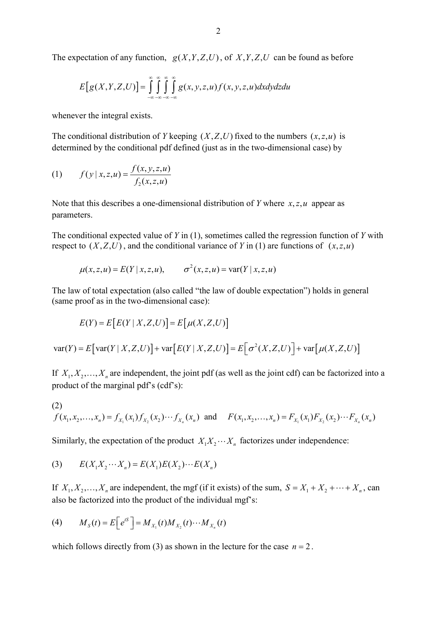The expectation of any function,  $g(X, Y, Z, U)$ , of  $X, Y, Z, U$  can be found as before

$$
E[g(X, Y, Z, U)] = \int_{-\infty}^{\infty} \int_{-\infty}^{\infty} \int_{-\infty}^{\infty} g(x, y, z, u) f(x, y, z, u) dx dy dz du
$$

whenever the integral exists.

The conditional distribution of *Y* keeping  $(X, Z, U)$  fixed to the numbers  $(x, z, u)$  is determined by the conditional pdf defined (just as in the two-dimensional case) by

(1) 
$$
f(y | x, z, u) = \frac{f(x, y, z, u)}{f_2(x, z, u)}
$$

Note that this describes a one-dimensional distribution of *Y* where  $x, z, u$  appear as parameters.

The conditional expected value of *Y* in (1), sometimes called the regression function of *Y* with respect to  $(X, Z, U)$ , and the conditional variance of *Y* in (1) are functions of  $(x, z, u)$ 

$$
\mu(x, z, u) = E(Y | x, z, u), \qquad \sigma^2(x, z, u) = \text{var}(Y | x, z, u)
$$

The law of total expectation (also called "the law of double expectation") holds in general (same proof as in the two-dimensional case):

$$
E(Y) = E\big[E(Y \mid X, Z, U)\big] = E\big[\mu(X, Z, U)\big]
$$

 $\text{var}(Y) = E[\text{var}(Y | X, Z, U)] + \text{var}[E(Y | X, Z, U)] = E[\sigma^2(X, Z, U)] + \text{var}[ \mu(X, Z, U)]$ 

If  $X_1, X_2, \ldots, X_n$  are independent, the joint pdf (as well as the joint cdf) can be factorized into a product of the marginal pdf's (cdf's):

(2) 
$$
f(x_1, x_2,...,x_n) = f_{X_1}(x_1) f_{X_2}(x_2) \cdots f_{X_n}(x_n) \text{ and } F(x_1, x_2,...,x_n) = F_{X_1}(x_1) F_{X_2}(x_2) \cdots F_{X_n}(x_n)
$$

Similarly, the expectation of the product  $X_1 X_2 \cdots X_n$  factorizes under independence:

(3) 
$$
E(X_1 X_2 \cdots X_n) = E(X_1) E(X_2) \cdots E(X_n)
$$

If  $X_1, X_2, \ldots, X_n$  are independent, the mgf (if it exists) of the sum,  $S = X_1 + X_2 + \cdots + X_n$ , can also be factorized into the product of the individual mgf's:

(4) 
$$
M_{S}(t) = E[e^{tS}] = M_{X_1}(t)M_{X_2}(t)\cdots M_{X_n}(t)
$$

which follows directly from (3) as shown in the lecture for the case  $n = 2$ .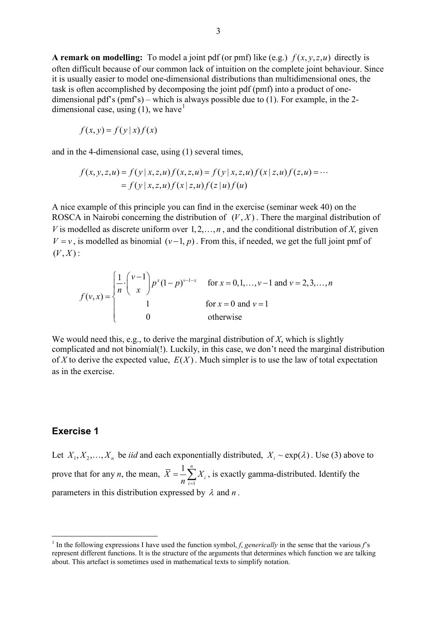**A remark on modelling:** To model a joint pdf (or pmf) like (e.g.)  $f(x, y, z, u)$  directly is often difficult because of our common lack of intuition on the complete joint behaviour. Since it is usually easier to model one-dimensional distributions than multidimensional ones, the task is often accomplished by decomposing the joint pdf (pmf) into a product of onedimensional pdf's (pmf's) – which is always possible due to (1). For example, in the 2 dimensional case, using  $(1)$  $(1)$  $(1)$ , we have<sup>1</sup>

$$
f(x, y) = f(y | x) f(x)
$$

and in the 4-dimensional case, using (1) several times,

$$
f(x, y, z, u) = f(y | x, z, u) f(x, z, u) = f(y | x, z, u) f(x | z, u) f(z, u) = ...
$$
  
=  $f(y | x, z, u) f(x | z, u) f(z | u) f(u)$ 

A nice example of this principle you can find in the exercise (seminar week 40) on the ROSCA in Nairobi concerning the distribution of  $(V, X)$ . There the marginal distribution of *V* is modelled as discrete uniform over  $1, 2, \ldots, n$ , and the conditional distribution of *X*, given  $V = v$ , is modelled as binomial  $(v-1, p)$ . From this, if needed, we get the full joint pmf of  $(V, X)$ :

$$
f(v, x) = \begin{cases} \frac{1}{n} \cdot \binom{v-1}{x} p^x (1-p)^{v-1-x} & \text{for } x = 0, 1, ..., v-1 \text{ and } v = 2, 3, ..., n \\ 1 & \text{for } x = 0 \text{ and } v = 1 \\ 0 & \text{otherwise} \end{cases}
$$

We would need this, e.g., to derive the marginal distribution of X, which is slightly complicated and not binomial(!). Luckily, in this case, we don't need the marginal distribution of X to derive the expected value,  $E(X)$ . Much simpler is to use the law of total expectation as in the exercise.

# **Exercise 1**

Let  $X_1, X_2, ..., X_n$  be *iid* and each exponentially distributed,  $X_i \sim \exp(\lambda)$ . Use (3) above to prove that for any *n*, the mean, 1  $1\frac{n}{2}$ *i i*  $X = -\sum X$  $=\frac{1}{n}\sum_{i=1}^{n}X_i$ , is exactly gamma-distributed. Identify the parameters in this distribution expressed by  $\lambda$  and  $n$ .

<span id="page-2-0"></span><sup>&</sup>lt;sup>1</sup> In the following expressions I have used the function symbol, *f*, *generically* in the sense that the various *f*'s represent different functions. It is the structure of the arguments that determines which function we are talking about. This artefact is sometimes used in mathematical texts to simplify notation.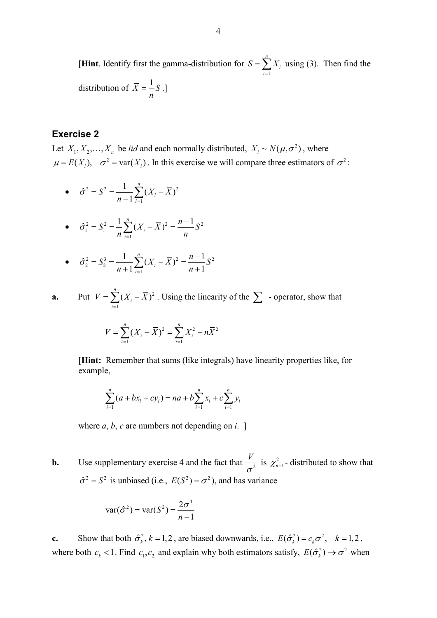[**Hint**. Identify first the gamma-distribution for 1 *n i i*  $S = \sum X$  $=\sum_{i=1} X_i$  using (3). Then find the distribution of  $\overline{X} = \frac{1}{n} S$ .]

### **Exercise 2**

Let  $X_1, X_2, ..., X_n$  be *iid* and each normally distributed,  $X_i \sim N(\mu, \sigma^2)$ , where  $\mu = E(X_i)$ ,  $\sigma^2 = \text{var}(X_i)$ . In this exercise we will compare three estimators of  $\sigma^2$ :

• 
$$
\hat{\sigma}^2 = S^2 = \frac{1}{n-1} \sum_{i=1}^n (X_i - \overline{X})^2
$$

• 
$$
\hat{\sigma}_1^2 = S_1^2 = \frac{1}{n} \sum_{i=1}^n (X_i - \overline{X})^2 = \frac{n-1}{n} S^2
$$

• 
$$
\hat{\sigma}_2^2 = S_2^3 = \frac{1}{n+1} \sum_{i=1}^n (X_i - \overline{X})^2 = \frac{n-1}{n+1} S^2
$$

**a.** Put 
$$
V = \sum_{i=1}^{n} (X_i - \overline{X})^2
$$
. Using the linearity of the  $\sum$  - operator, show that

$$
V = \sum_{i=1}^{n} (X_i - \overline{X})^2 = \sum_{i=1}^{n} X_i^2 - n\overline{X}^2
$$

[**Hint:** Remember that sums (like integrals) have linearity properties like, for example,

$$
\sum_{i=1}^{n} (a + bx_i + cy_i) = na + b \sum_{i=1}^{n} x_i + c \sum_{i=1}^{n} y_i
$$

where  $a, b, c$  are numbers not depending on  $i$ .

**b.** Use supplementary exercise 4 and the fact that  $\frac{V}{\tau^2}$  $\frac{r}{\sigma^2}$  is  $\chi^2_{n-1}$ - distributed to show that  $\hat{\sigma}^2 = S^2$  is unbiased (i.e.,  $E(S^2) = \sigma^2$ ), and has variance

$$
\text{var}(\hat{\sigma}^2) = \text{var}(S^2) = \frac{2\sigma^4}{n-1}
$$

**c.** Show that both  $\hat{\sigma}_k^2$ ,  $k = 1, 2$ , are biased downwards, i.e.,  $E(\hat{\sigma}_k^2) = c_k \sigma^2$ ,  $k = 1, 2$ , where both  $c_k < 1$ . Find  $c_1, c_2$  and explain why both estimators satisfy,  $E(\hat{\sigma}_k^2) \to \sigma^2$  when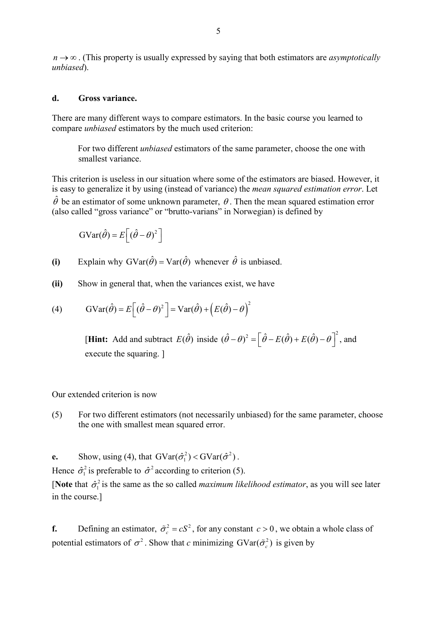*n* → ∞ . (This property is usually expressed by saying that both estimators are *asymptotically unbiased*).

#### **d. Gross variance.**

There are many different ways to compare estimators. In the basic course you learned to compare *unbiased* estimators by the much used criterion:

For two different *unbiased* estimators of the same parameter, choose the one with smallest variance.

This criterion is useless in our situation where some of the estimators are biased. However, it is easy to generalize it by using (instead of variance) the *mean squared estimation error*. Let  $\hat{\theta}$  be an estimator of some unknown parameter,  $\theta$ . Then the mean squared estimation error (also called "gross variance" or "brutto-varians" in Norwegian) is defined by

$$
GVar(\hat{\theta}) = E[(\hat{\theta} - \theta)^2]
$$

(i) Explain why  $GVar(\hat{\theta}) = Var(\hat{\theta})$  whenever  $\hat{\theta}$  is unbiased.

**(ii)** Show in general that, when the variances exist, we have

(4) 
$$
GVar(\hat{\theta}) = E[(\hat{\theta} - \theta)^2] = Var(\hat{\theta}) + (E(\hat{\theta}) - \theta)^2
$$

[**Hint:** Add and subtract  $E(\hat{\theta})$  inside  $(\hat{\theta} - \theta)^2 = \left[\hat{\theta} - E(\hat{\theta}) + E(\hat{\theta}) - \theta\right]^2$ , and execute the squaring. ]

Our extended criterion is now

- (5) For two different estimators (not necessarily unbiased) for the same parameter, choose the one with smallest mean squared error.
- **e.** Show, using (4), that  $GVar(\hat{\sigma}_1^2) < GVar(\hat{\sigma}^2)$ .

Hence  $\hat{\sigma}_1^2$  is preferable to  $\hat{\sigma}^2$  according to criterion (5).

[**Note** that  $\hat{\sigma}_1^2$  is the same as the so called *maximum likelihood estimator*, as you will see later in the course.]

**f.** Defining an estimator,  $\tilde{\sigma}_c^2 = cS^2$ , for any constant  $c > 0$ , we obtain a whole class of potential estimators of  $\sigma^2$ . Show that *c* minimizing  $GVar(\tilde{\sigma}_c^2)$  is given by